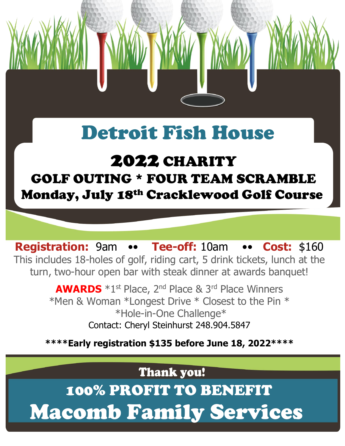# Detroit Fish House

### 2022 CHARITY GOLF OUTING \* FOUR TEAM SCRAMBLE Monday, July 18th Cracklewood Golf Course

**Registration:** 9am •• **Tee-off:** 10am •• **Cost:** \$160 This includes 18-holes of golf, riding cart, 5 drink tickets, lunch at the turn, two-hour open bar with steak dinner at awards banquet!

> **AWARDS**  $*1^{st}$  Place, 2<sup>nd</sup> Place & 3<sup>rd</sup> Place Winners \*Men & Woman \*Longest Drive \* Closest to the Pin \* \*Hole-in-One Challenge\* Contact: Cheryl Steinhurst 248.904.5847

**\*\*\*\*Early registration \$135 before June 18, 2022\*\*\*\***

**Thank you!** 

100% PROFIT TO BENEFIT Macomb Family Services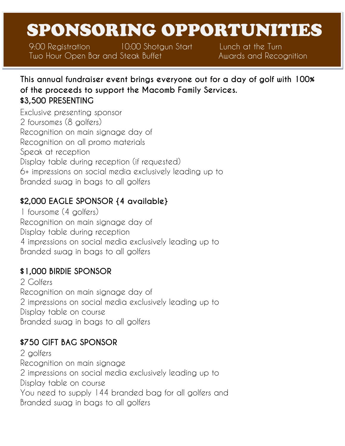## SPONSORING OPPORTUNITIES

9:00 Registration 10:00 Shotgun Start Lunch at the Turn Two Hour Open Bar and Steak Buffet **Awards and Recognition** 

**This annual fundraiser event brings everyone out for a day of golf with 100% of the proceeds to support the Macomb Family Services. \$3,500 PRESENTING**

Exclusive presenting sponsor 2 foursomes (8 golfers) Recognition on main signage day of Recognition on all promo materials Speak at reception Display table during reception (if requested) 6+ impressions on social media exclusively leading up to Branded swag in bags to all golfers

#### **\$2,000 EAGLE SPONSOR {4 available}**

1 foursome (4 golfers) Recognition on main signage day of Display table during reception 4 impressions on social media exclusively leading up to Branded swag in bags to all golfers

#### **\$1,000 BIRDIE SPONSOR**

2 Golfers Recognition on main signage day of 2 impressions on social media exclusively leading up to Display table on course Branded swag in bags to all golfers

#### **\$750 GIFT BAG SPONSOR**

2 golfers Recognition on main signage 2 impressions on social media exclusively leading up to Display table on course You need to supply 144 branded bag for all golfers and Branded swag in bags to all golfers